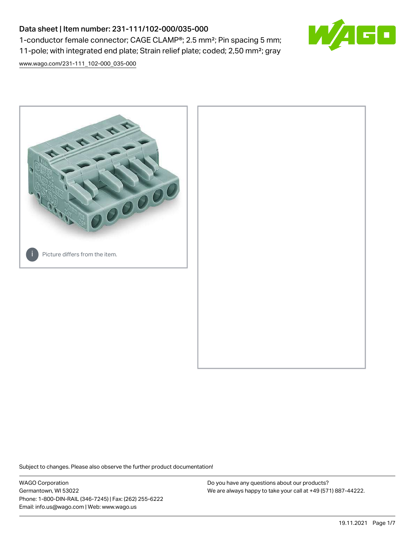# Data sheet | Item number: 231-111/102-000/035-000 1-conductor female connector; CAGE CLAMP®; 2.5 mm²; Pin spacing 5 mm; 11-pole; with integrated end plate; Strain relief plate; coded; 2,50 mm²; gray



[www.wago.com/231-111\\_102-000\\_035-000](http://www.wago.com/231-111_102-000_035-000)



Subject to changes. Please also observe the further product documentation!

WAGO Corporation Germantown, WI 53022 Phone: 1-800-DIN-RAIL (346-7245) | Fax: (262) 255-6222 Email: info.us@wago.com | Web: www.wago.us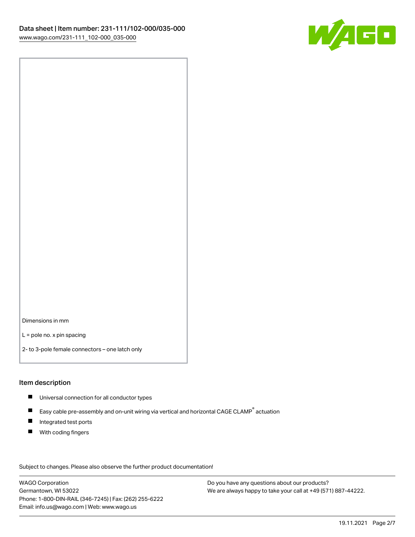

Dimensions in mm

L = pole no. x pin spacing

2- to 3-pole female connectors – one latch only

# Item description

- **Universal connection for all conductor types**
- Easy cable pre-assembly and on-unit wiring via vertical and horizontal CAGE CLAMP<sup>®</sup> actuation  $\blacksquare$
- $\blacksquare$ Integrated test ports
- $\blacksquare$ With coding fingers

Subject to changes. Please also observe the further product documentation! Data

WAGO Corporation Germantown, WI 53022 Phone: 1-800-DIN-RAIL (346-7245) | Fax: (262) 255-6222 Email: info.us@wago.com | Web: www.wago.us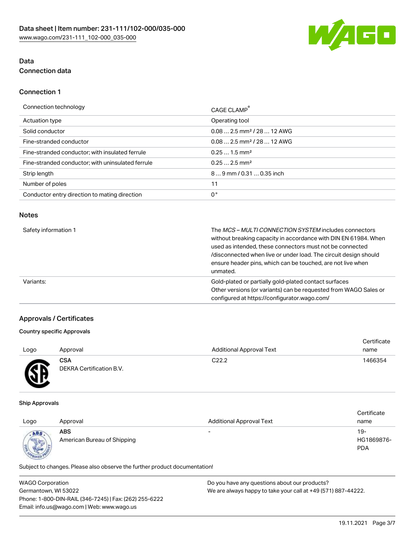

# Data Connection data

# Connection 1

| Connection technology                             | CAGE CLAMP®                             |
|---------------------------------------------------|-----------------------------------------|
| Actuation type                                    | Operating tool                          |
| Solid conductor                                   | $0.082.5$ mm <sup>2</sup> / 28  12 AWG  |
| Fine-stranded conductor                           | $0.08$ 2.5 mm <sup>2</sup> / 28  12 AWG |
| Fine-stranded conductor; with insulated ferrule   | $0.251.5$ mm <sup>2</sup>               |
| Fine-stranded conductor; with uninsulated ferrule | $0.252.5$ mm <sup>2</sup>               |
| Strip length                                      | 89 mm / 0.31  0.35 inch                 |
| Number of poles                                   | 11                                      |
| Conductor entry direction to mating direction     | 0°                                      |
|                                                   |                                         |

## Notes

| Safety information 1 | The <i>MCS – MULTI CONNECTION SYSTEM</i> includes connectors<br>without breaking capacity in accordance with DIN EN 61984. When<br>used as intended, these connectors must not be connected<br>/disconnected when live or under load. The circuit design should<br>ensure header pins, which can be touched, are not live when<br>unmated. |
|----------------------|--------------------------------------------------------------------------------------------------------------------------------------------------------------------------------------------------------------------------------------------------------------------------------------------------------------------------------------------|
| Variants:            | Gold-plated or partially gold-plated contact surfaces<br>Other versions (or variants) can be requested from WAGO Sales or<br>configured at https://configurator.wago.com/                                                                                                                                                                  |

# Approvals / Certificates

# Country specific Approvals

|      |                                        |                                 | Certificate |
|------|----------------------------------------|---------------------------------|-------------|
| Logo | Approval                               | <b>Additional Approval Text</b> | name        |
| Æ    | <b>CSA</b><br>DEKRA Certification B.V. | C <sub>22.2</sub>               | 1466354     |

#### Ship Approvals

| Logo | Approval                                  | <b>Additional Approval Text</b> | Certificate<br>name             |
|------|-------------------------------------------|---------------------------------|---------------------------------|
| ABS  | <b>ABS</b><br>American Bureau of Shipping | $\overline{\phantom{0}}$        | 19-<br>HG1869876-<br><b>PDA</b> |

Subject to changes. Please also observe the further product documentation!

| WAGO Corporation                                       | Do you have any questions about our products?                 |  |
|--------------------------------------------------------|---------------------------------------------------------------|--|
| Germantown, WI 53022                                   | We are always happy to take your call at +49 (571) 887-44222. |  |
| Phone: 1-800-DIN-RAIL (346-7245)   Fax: (262) 255-6222 |                                                               |  |
| Email: info.us@wago.com   Web: www.wago.us             |                                                               |  |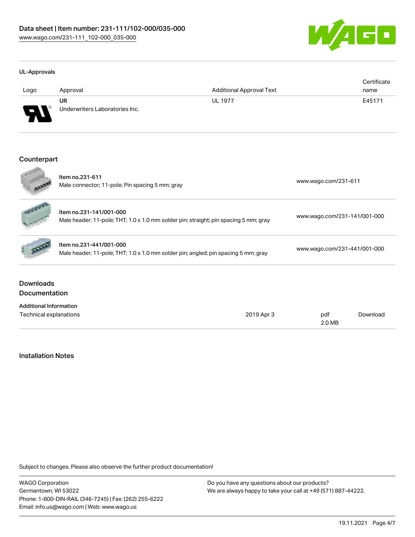

#### UL-Approvals

| Logo    | Approval                             | <b>Additional Approval Text</b> | Certificate<br>name |
|---------|--------------------------------------|---------------------------------|---------------------|
| J<br>₩₩ | UR<br>Underwriters Laboratories Inc. | <b>UL 1977</b>                  | E45171              |

## Counterpart

|                                          | Item no.231-611<br>Male connector; 11-pole; Pin spacing 5 mm; gray                                              |            | www.wago.com/231-611         |          |  |
|------------------------------------------|-----------------------------------------------------------------------------------------------------------------|------------|------------------------------|----------|--|
|                                          | Item no.231-141/001-000<br>Male header; 11-pole; THT; 1.0 x 1.0 mm solder pin; straight; pin spacing 5 mm; gray |            | www.wago.com/231-141/001-000 |          |  |
|                                          | Item no.231-441/001-000<br>Male header; 11-pole; THT; 1.0 x 1.0 mm solder pin; angled; pin spacing 5 mm; gray   |            | www.wago.com/231-441/001-000 |          |  |
| <b>Downloads</b><br><b>Documentation</b> |                                                                                                                 |            |                              |          |  |
| <b>Additional Information</b>            |                                                                                                                 |            |                              |          |  |
| Technical explanations                   |                                                                                                                 | 2019 Apr 3 | pdf<br>2.0 MB                | Download |  |

# Installation Notes

Subject to changes. Please also observe the further product documentation!

WAGO Corporation Germantown, WI 53022 Phone: 1-800-DIN-RAIL (346-7245) | Fax: (262) 255-6222 Email: info.us@wago.com | Web: www.wago.us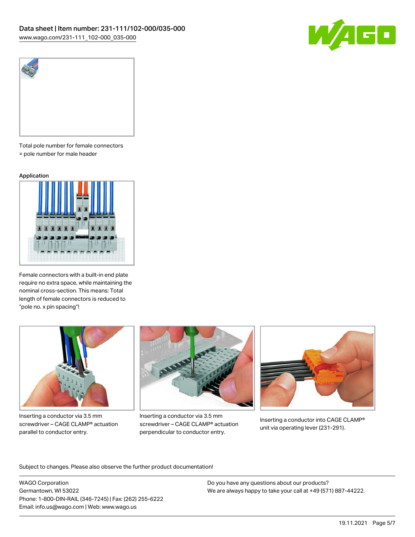



Total pole number for female connectors = pole number for male header

#### Application



Female connectors with a built-in end plate require no extra space, while maintaining the nominal cross-section. This means: Total length of female connectors is reduced to "pole no. x pin spacing"!



Inserting a conductor via 3.5 mm screwdriver – CAGE CLAMP® actuation parallel to conductor entry.



Inserting a conductor via 3.5 mm screwdriver – CAGE CLAMP® actuation perpendicular to conductor entry.



Inserting a conductor into CAGE CLAMP® unit via operating lever (231-291).

Subject to changes. Please also observe the further product documentation!

WAGO Corporation Germantown, WI 53022 Phone: 1-800-DIN-RAIL (346-7245) | Fax: (262) 255-6222 Email: info.us@wago.com | Web: www.wago.us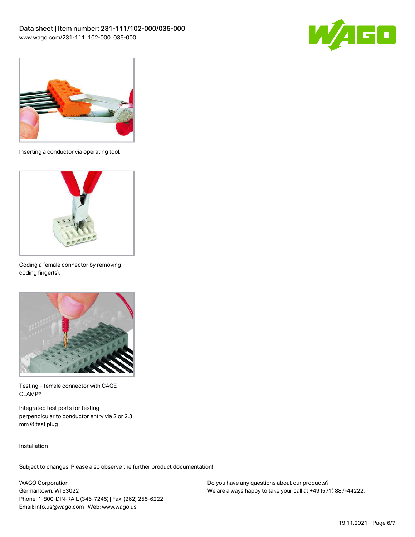



Inserting a conductor via operating tool.



Coding a female connector by removing coding finger(s).



Testing – female connector with CAGE CLAMP®

Integrated test ports for testing perpendicular to conductor entry via 2 or 2.3 mm Ø test plug

### Installation

Subject to changes. Please also observe the further product documentation!

WAGO Corporation Germantown, WI 53022 Phone: 1-800-DIN-RAIL (346-7245) | Fax: (262) 255-6222 Email: info.us@wago.com | Web: www.wago.us